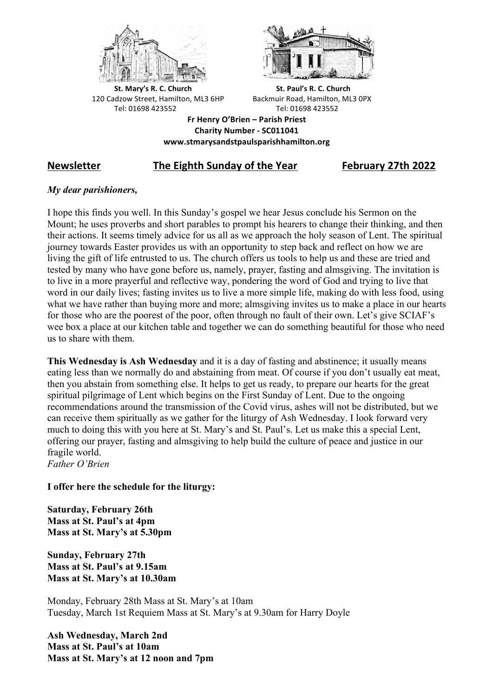



**St.** Mary's R. C. Church St. Paul's R. C. Church 120 Cadzow Street, Hamilton, ML3 6HP Backmuir Road, Hamilton, ML3 0PX Tel: 01698 423552 Tel: 01698 423552

**Fr Henry O'Brien – Parish Priest Charity Number - SC011041 www.stmarysandstpaulsparishhamilton.org**

# **Newsletter The Eighth Sunday of the Year February 27th 2022**

# *My dear parishioners,*

I hope this finds you well. In this Sunday's gospel we hear Jesus conclude his Sermon on the Mount; he uses proverbs and short parables to prompt his hearers to change their thinking, and then their actions. It seems timely advice for us all as we approach the holy season of Lent. The spiritual journey towards Easter provides us with an opportunity to step back and reflect on how we are living the gift of life entrusted to us. The church offers us tools to help us and these are tried and tested by many who have gone before us, namely, prayer, fasting and almsgiving. The invitation is to live in a more prayerful and reflective way, pondering the word of God and trying to live that word in our daily lives; fasting invites us to live a more simple life, making do with less food, using what we have rather than buying more and more; almsgiving invites us to make a place in our hearts for those who are the poorest of the poor, often through no fault of their own. Let's give SCIAF's wee box a place at our kitchen table and together we can do something beautiful for those who need us to share with them.

**This Wednesday is Ash Wednesday** and it is a day of fasting and abstinence; it usually means eating less than we normally do and abstaining from meat. Of course if you don't usually eat meat, then you abstain from something else. It helps to get us ready, to prepare our hearts for the great spiritual pilgrimage of Lent which begins on the First Sunday of Lent. Due to the ongoing recommendations around the transmission of the Covid virus, ashes will not be distributed, but we can receive them spiritually as we gather for the liturgy of Ash Wednesday. I look forward very much to doing this with you here at St. Mary's and St. Paul's. Let us make this a special Lent, offering our prayer, fasting and almsgiving to help build the culture of peace and justice in our fragile world. *Father O'Brien*

**I offer here the schedule for the liturgy:**

**Saturday, February 26th Mass at St. Paul's at 4pm Mass at St. Mary's at 5.30pm**

**Sunday, February 27th Mass at St. Paul's at 9.15am Mass at St. Mary's at 10.30am**

Monday, February 28th Mass at St. Mary's at 10am Tuesday, March 1st Requiem Mass at St. Mary's at 9.30am for Harry Doyle

**Ash Wednesday, March 2nd Mass at St. Paul's at 10am Mass at St. Mary's at 12 noon and 7pm**